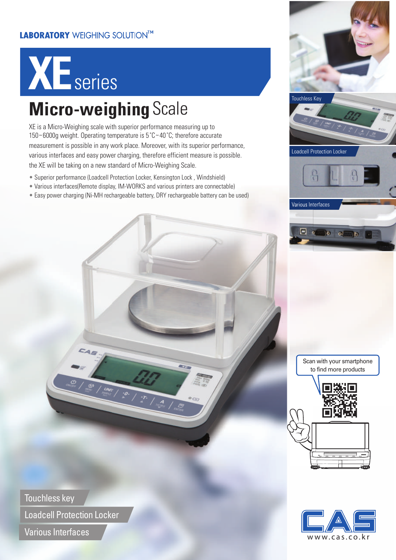#### **LABORATORY** WEIGHING SOLUTIONTM

# **XE** series

### **Micro-weighing** Scale

XE is a Micro-Weighing scale with superior performance measuring up to 150~6000g weight. Operating temperature is 5˚C~40˚C; therefore accurate measurement is possible in any work place. Moreover, with its superior performance, various interfaces and easy power charging, therefore efficient measure is possible. the XE will be taking on a new standard of Micro-Weighing Scale.

- Superior performance (Loadcell Protection Locker, Kensington Lock, Windshield)
- Various interfaces(Remote display, IM-WORKS and various printers are connectable)
- Easy power charging (Ni-MH rechargeable battery, DRY rechargeable battery can be used)



Scan with your smartphone to find more products





Touchless key Loadcell Protection Locker

Various Interfaces